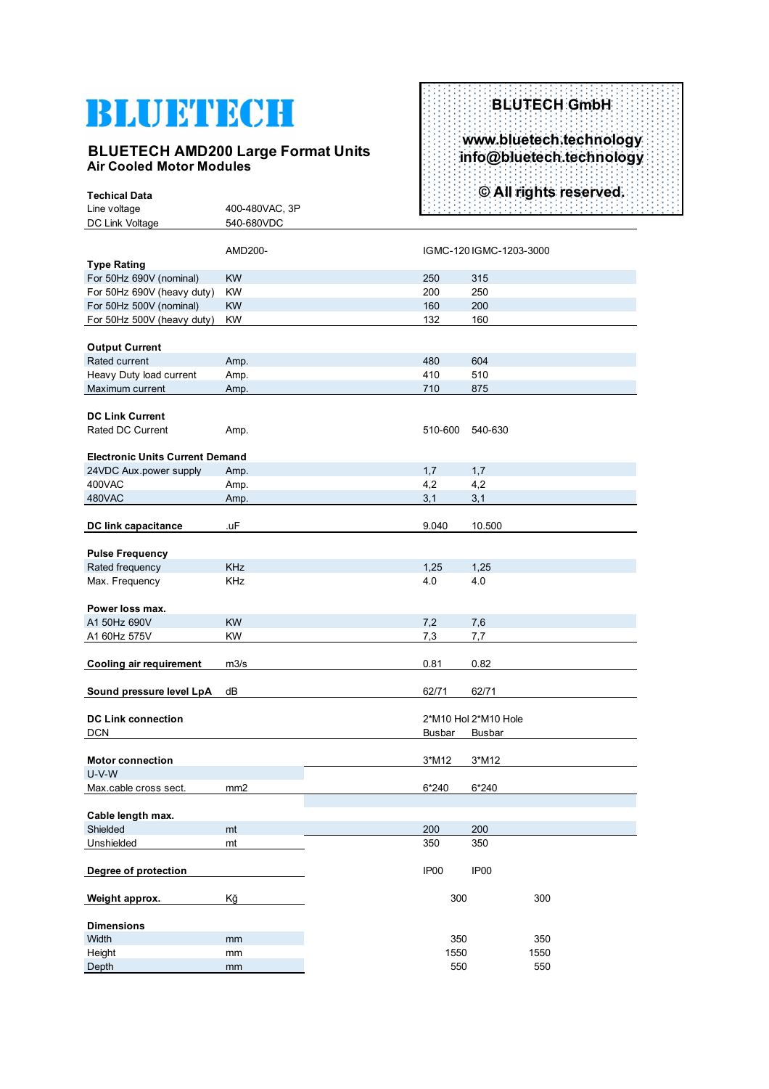# BLUETECH

#### **BLUETECH AMD200 Large Format Units Air Cooled Motor Modules**

### **BLUTECH GmbH www.bluetech.technology info@bluetech.technology © All rights reserved.**

| <b>Techical Data</b>                   |                 |                  |                         | © All rights reserved. |
|----------------------------------------|-----------------|------------------|-------------------------|------------------------|
| Line voltage                           | 400-480VAC, 3P  |                  |                         |                        |
| DC Link Voltage                        | 540-680VDC      |                  |                         |                        |
|                                        |                 |                  |                         |                        |
|                                        | AMD200-         |                  | IGMC-120 IGMC-1203-3000 |                        |
| <b>Type Rating</b>                     |                 |                  |                         |                        |
| For 50Hz 690V (nominal)                | <b>KW</b>       | 250              | 315                     |                        |
| For 50Hz 690V (heavy duty)             | <b>KW</b>       | 200              | 250                     |                        |
| For 50Hz 500V (nominal)                | <b>KW</b>       | 160              | 200                     |                        |
| For 50Hz 500V (heavy duty)             | KW              | 132              | 160                     |                        |
| <b>Output Current</b>                  |                 |                  |                         |                        |
| Rated current                          | Amp.            | 480              | 604                     |                        |
| Heavy Duty load current                | Amp.            | 410              | 510                     |                        |
| Maximum current                        | Amp.            | 710              | 875                     |                        |
|                                        |                 |                  |                         |                        |
| <b>DC Link Current</b>                 |                 |                  |                         |                        |
| <b>Rated DC Current</b>                | Amp.            | 510-600          | 540-630                 |                        |
|                                        |                 |                  |                         |                        |
| <b>Electronic Units Current Demand</b> |                 |                  |                         |                        |
| 24VDC Aux.power supply                 | Amp.            | 1,7              | 1,7                     |                        |
| 400VAC                                 | Amp.            | 4,2              | 4,2                     |                        |
| 480VAC                                 | Amp.            | 3,1              | 3,1                     |                        |
|                                        |                 |                  |                         |                        |
| <b>DC link capacitance</b>             | .uF             | 9.040            | 10.500                  |                        |
|                                        |                 |                  |                         |                        |
| <b>Pulse Frequency</b>                 |                 |                  |                         |                        |
| Rated frequency                        | <b>KHz</b>      | 1,25             | 1,25                    |                        |
| Max. Frequency                         | <b>KHz</b>      | 4.0              | 4.0                     |                        |
|                                        |                 |                  |                         |                        |
| Power loss max.                        |                 |                  |                         |                        |
| A1 50Hz 690V                           | <b>KW</b>       | 7,2              | 7,6                     |                        |
| A1 60Hz 575V                           | KW              | 7,3              | 7,7                     |                        |
|                                        |                 |                  |                         |                        |
| <b>Cooling air requirement</b>         | m3/s            | 0.81             | 0.82                    |                        |
|                                        |                 |                  |                         |                        |
| Sound pressure level LpA               | dB              | 62/71            | 62/71                   |                        |
|                                        |                 |                  |                         |                        |
| <b>DC Link connection</b>              |                 |                  | 2*M10 Hol 2*M10 Hole    |                        |
| <b>DCN</b>                             |                 | <b>Busbar</b>    | Busbar                  |                        |
|                                        |                 |                  |                         |                        |
| <b>Motor connection</b>                |                 | 3*M12            | 3*M12                   |                        |
| $U-V-W$                                |                 |                  |                         |                        |
| Max.cable cross sect.                  | mm <sub>2</sub> | 6*240            | 6*240                   |                        |
|                                        |                 |                  |                         |                        |
| Cable length max.                      |                 |                  |                         |                        |
| Shielded                               | mt              | 200              | 200                     |                        |
| Unshielded                             | mt              | 350              | 350                     |                        |
|                                        |                 |                  |                         |                        |
| Degree of protection                   |                 | IP <sub>00</sub> | IP <sub>00</sub>        |                        |
|                                        |                 |                  |                         |                        |
| Weight approx.                         | Kğ              | 300              |                         | 300                    |
| <b>Dimensions</b>                      |                 |                  |                         |                        |
| Width                                  | mm              | 350              |                         | 350                    |
| Height                                 | mm              | 1550             |                         | 1550                   |
| Depth                                  | mm              | 550              |                         | 550                    |
|                                        |                 |                  |                         |                        |